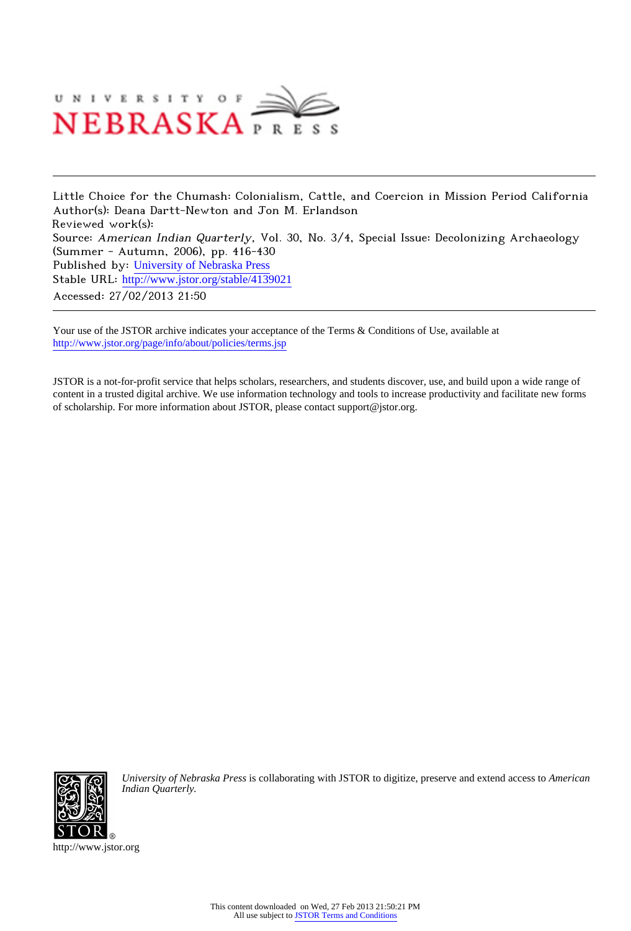# UNIVERSITY OF

Little Choice for the Chumash: Colonialism, Cattle, and Coercion in Mission Period California Author(s): Deana Dartt-Newton and Jon M. Erlandson Reviewed work(s): Source: American Indian Quarterly, Vol. 30, No. 3/4, Special Issue: Decolonizing Archaeology (Summer - Autumn, 2006), pp. 416-430 Published by: [University of Nebraska Press](http://www.jstor.org/action/showPublisher?publisherCode=unp) Stable URL: [http://www.jstor.org/stable/4139021](http://www.jstor.org/stable/4139021?origin=JSTOR-pdf) Accessed: 27/02/2013 21:50

Your use of the JSTOR archive indicates your acceptance of the Terms & Conditions of Use, available at <http://www.jstor.org/page/info/about/policies/terms.jsp>

JSTOR is a not-for-profit service that helps scholars, researchers, and students discover, use, and build upon a wide range of content in a trusted digital archive. We use information technology and tools to increase productivity and facilitate new forms of scholarship. For more information about JSTOR, please contact support@jstor.org.



*University of Nebraska Press* is collaborating with JSTOR to digitize, preserve and extend access to *American Indian Quarterly.*

http://www.jstor.org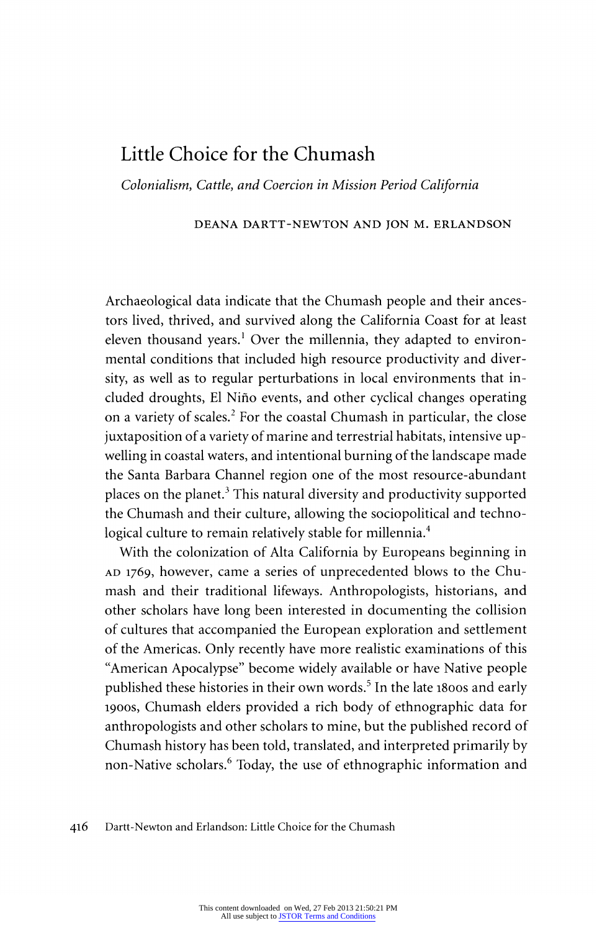# **Little Choice for the Chumash**

**Colonialism, Cattle, and Coercion in Mission Period California** 

# **DEANA DARTT-NEWTON AND JON M. ERLANDSON**

**Archaeological data indicate that the Chumash people and their ancestors lived, thrived, and survived along the California Coast for at least eleven thousand years.' Over the millennia, they adapted to environmental conditions that included high resource productivity and diversity, as well as to regular perturbations in local environments that included droughts, El Nifio events, and other cyclical changes operating on a variety of scales.2 For the coastal Chumash in particular, the close juxtaposition of a variety of marine and terrestrial habitats, intensive upwelling in coastal waters, and intentional burning of the landscape made the Santa Barbara Channel region one of the most resource-abundant places on the planet.3 This natural diversity and productivity supported the Chumash and their culture, allowing the sociopolitical and technological culture to remain relatively stable for millennia.'** 

**With the colonization of Alta California by Europeans beginning in AD 1769, however, came a series of unprecedented blows to the Chumash and their traditional lifeways. Anthropologists, historians, and other scholars have long been interested in documenting the collision of cultures that accompanied the European exploration and settlement of the Americas. Only recently have more realistic examinations of this "American Apocalypse" become widely available or have Native people published these histories in their own words.5 In the late 18oos and early 19oos, Chumash elders provided a rich body of ethnographic data for anthropologists and other scholars to mine, but the published record of Chumash history has been told, translated, and interpreted primarily by non-Native scholars.6 Today, the use of ethnographic information and**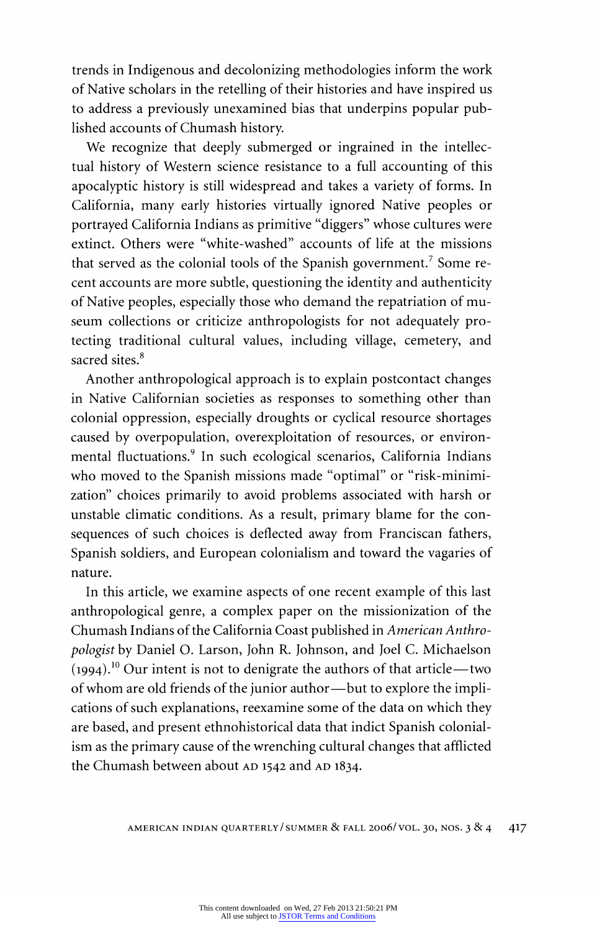**trends in Indigenous and decolonizing methodologies inform the work of Native scholars in the retelling of their histories and have inspired us to address a previously unexamined bias that underpins popular published accounts of Chumash history.** 

**We recognize that deeply submerged or ingrained in the intellectual history of Western science resistance to a full accounting of this apocalyptic history is still widespread and takes a variety of forms. In California, many early histories virtually ignored Native peoples or portrayed California Indians as primitive "diggers" whose cultures were extinct. Others were "white-washed" accounts of life at the missions that served as the colonial tools of the Spanish government.7 Some recent accounts are more subtle, questioning the identity and authenticity of Native peoples, especially those who demand the repatriation of museum collections or criticize anthropologists for not adequately protecting traditional cultural values, including village, cemetery, and sacred sites.8** 

**Another anthropological approach is to explain postcontact changes in Native Californian societies as responses to something other than colonial oppression, especially droughts or cyclical resource shortages caused by overpopulation, overexploitation of resources, or environmental fluctuations.' In such ecological scenarios, California Indians who moved to the Spanish missions made "optimal" or "risk-minimization" choices primarily to avoid problems associated with harsh or unstable climatic conditions. As a result, primary blame for the consequences of such choices is deflected away from Franciscan fathers, Spanish soldiers, and European colonialism and toward the vagaries of nature.** 

**In this article, we examine aspects of one recent example of this last anthropological genre, a complex paper on the missionization of the Chumash Indians of the California Coast published in American Anthropologist by Daniel O. Larson, John R. Johnson, and Joel C. Michaelson**   $(1994)$ .<sup>10</sup> Our intent is not to denigrate the authors of that article—two **of whom are old friends of the junior author-but to explore the implications of such explanations, reexamine some of the data on which they are based, and present ethnohistorical data that indict Spanish colonialism as the primary cause of the wrenching cultural changes that afflicted the Chumash between about AD 1542 and AD 1834.**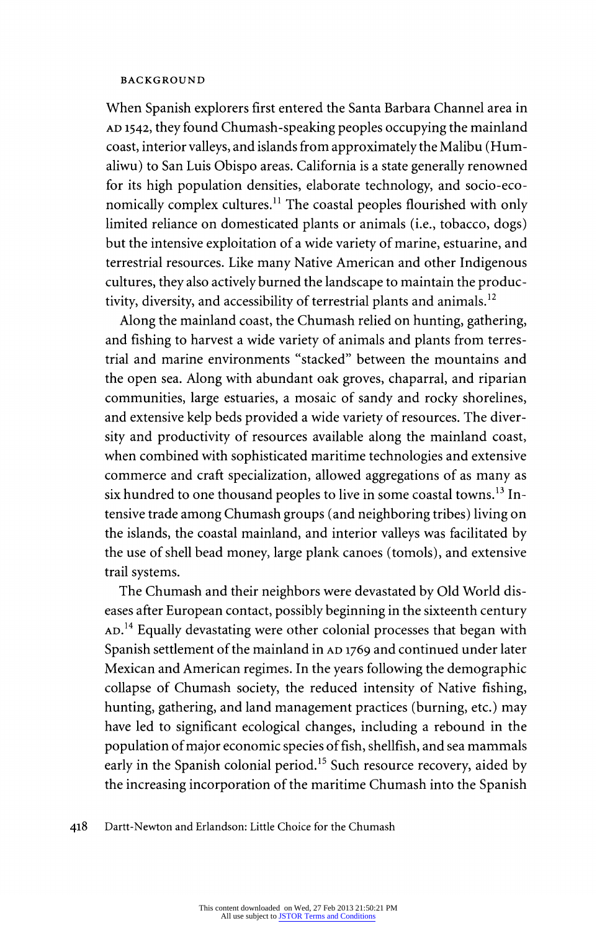# **BACKGROUND**

**When Spanish explorers first entered the Santa Barbara Channel area in AD 1542, they found Chumash-speaking peoples occupying the mainland coast, interior valleys, and islands from approximately the Malibu (Humaliwu) to San Luis Obispo areas. California is a state generally renowned for its high population densities, elaborate technology, and socio-economically complex cultures." The coastal peoples flourished with only limited reliance on domesticated plants or animals (i.e., tobacco, dogs) but the intensive exploitation of a wide variety of marine, estuarine, and terrestrial resources. Like many Native American and other Indigenous cultures, they also actively burned the landscape to maintain the productivity, diversity, and accessibility of terrestrial plants and animals.12** 

**Along the mainland coast, the Chumash relied on hunting, gathering, and fishing to harvest a wide variety of animals and plants from terrestrial and marine environments "stacked" between the mountains and the open sea. Along with abundant oak groves, chaparral, and riparian communities, large estuaries, a mosaic of sandy and rocky shorelines, and extensive kelp beds provided a wide variety of resources. The diversity and productivity of resources available along the mainland coast, when combined with sophisticated maritime technologies and extensive commerce and craft specialization, allowed aggregations of as many as**  six hundred to one thousand peoples to live in some coastal towns.<sup>13</sup> In**tensive trade among Chumash groups (and neighboring tribes) living on the islands, the coastal mainland, and interior valleys was facilitated by the use of shell bead money, large plank canoes (tomols), and extensive trail systems.** 

**The Chumash and their neighbors were devastated by Old World diseases after European contact, possibly beginning in the sixteenth century AD.14 Equally devastating were other colonial processes that began with Spanish settlement of the mainland in AD 1769 and continued under later Mexican and American regimes. In the years following the demographic collapse of Chumash society, the reduced intensity of Native fishing, hunting, gathering, and land management practices (burning, etc.) may have led to significant ecological changes, including a rebound in the population of major economic species of fish, shellfish, and sea mammals**  early in the Spanish colonial period.<sup>15</sup> Such resource recovery, aided by **the increasing incorporation of the maritime Chumash into the Spanish**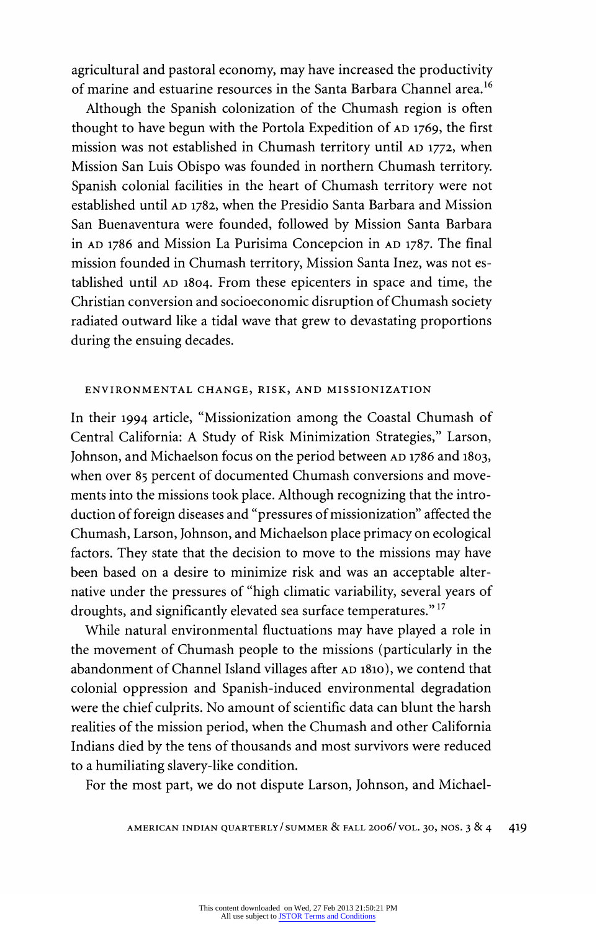**agricultural and pastoral economy, may have increased the productivity of marine and estuarine resources in the Santa Barbara Channel area.16** 

**Although the Spanish colonization of the Chumash region is often thought to have begun with the Portola Expedition of AD 1769, the first mission was not established in Chumash territory until AD 1772, when Mission San Luis Obispo was founded in northern Chumash territory. Spanish colonial facilities in the heart of Chumash territory were not established until AD 1782, when the Presidio Santa Barbara and Mission San Buenaventura were founded, followed by Mission Santa Barbara in AD 1786 and Mission La Purisima Concepcion in AD 1787. The final mission founded in Chumash territory, Mission Santa Inez, was not established until AD 1804. From these epicenters in space and time, the Christian conversion and socioeconomic disruption of Chumash society radiated outward like a tidal wave that grew to devastating proportions during the ensuing decades.** 

# **ENVIRONMENTAL CHANGE, RISK, AND MISSIONIZATION**

**In their 1994 article, "Missionization among the Coastal Chumash of Central California: A Study of Risk Minimization Strategies," Larson, Johnson, and Michaelson focus on the period between AD 1786 and 1803, when over 85 percent of documented Chumash conversions and movements into the missions took place. Although recognizing that the introduction of foreign diseases and "pressures of missionization" affected the Chumash, Larson, Johnson, and Michaelson place primacy on ecological factors. They state that the decision to move to the missions may have been based on a desire to minimize risk and was an acceptable alternative under the pressures of "high climatic variability, several years of droughts, and significantly elevated sea surface temperatures." <sup>17</sup>**

**While natural environmental fluctuations may have played a role in the movement of Chumash people to the missions (particularly in the abandonment of Channel Island villages after AD 1810), we contend that colonial oppression and Spanish-induced environmental degradation were the chief culprits. No amount of scientific data can blunt the harsh realities of the mission period, when the Chumash and other California Indians died by the tens of thousands and most survivors were reduced to a humiliating slavery-like condition.** 

**For the most part, we do not dispute Larson, Johnson, and Michael-**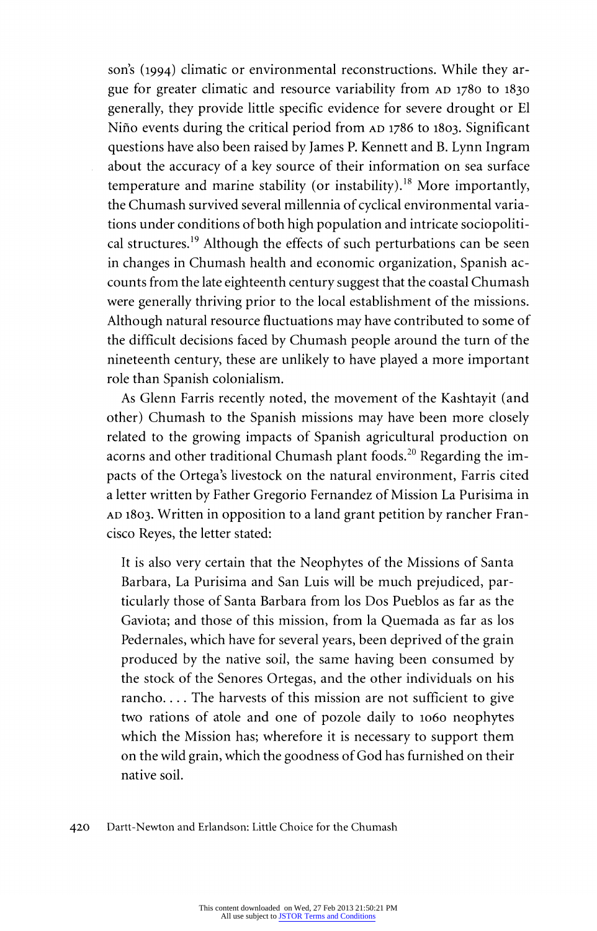**son's (1994) climatic or environmental reconstructions. While they argue for greater climatic and resource variability from AD 1780 to 1830 generally, they provide little specific evidence for severe drought or El Nifio events during the critical period from AD 1786 to 1803. Significant questions have also been raised by James P. Kennett and B. Lynn Ingram about the accuracy of a key source of their information on sea surface temperature and marine stability (or instability).'8 More importantly, the Chumash survived several millennia of cyclical environmental variations under conditions of both high population and intricate sociopolitical structures.'9 Although the effects of such perturbations can be seen in changes in Chumash health and economic organization, Spanish accounts from the late eighteenth century suggest that the coastal Chumash were generally thriving prior to the local establishment of the missions. Although natural resource fluctuations may have contributed to some of the difficult decisions faced by Chumash people around the turn of the nineteenth century, these are unlikely to have played a more important role than Spanish colonialism.** 

**As Glenn Farris recently noted, the movement of the Kashtayit (and other) Chumash to the Spanish missions may have been more closely related to the growing impacts of Spanish agricultural production on**  acorns and other traditional Chumash plant foods.<sup>20</sup> Regarding the im**pacts of the Ortega's livestock on the natural environment, Farris cited a letter written by Father Gregorio Fernandez of Mission La Purisima in AD 1803. Written in opposition to a land grant petition by rancher Francisco Reyes, the letter stated:** 

**It is also very certain that the Neophytes of the Missions of Santa Barbara, La Purisima and San Luis will be much prejudiced, particularly those of Santa Barbara from los Dos Pueblos as far as the Gaviota; and those of this mission, from la Quemada as far as los Pedernales, which have for several years, been deprived of the grain produced by the native soil, the same having been consumed by the stock of the Senores Ortegas, and the other individuals on his rancho.... The harvests of this mission are not sufficient to give**  two rations of atole and one of pozole daily to 1060 neophytes **which the Mission has; wherefore it is necessary to support them on the wild grain, which the goodness of God has furnished on their native soil.**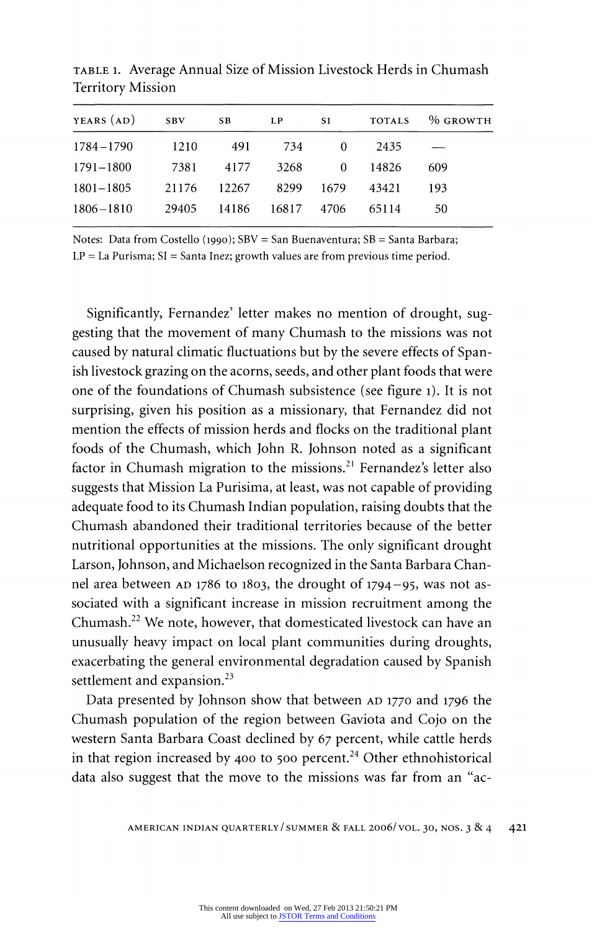| YEARS (AD)    | <b>SBV</b> | SB.   | LP.   | <b>SI</b> | <b>TOTALS</b> | $%$ GROWTH |  |
|---------------|------------|-------|-------|-----------|---------------|------------|--|
| 1784-1790     | 1210       | 491   | 734   | $\theta$  | 2435          |            |  |
| $1791 - 1800$ | 7381       | 4177  | 3268  | $\theta$  | 14826         | 609        |  |
| $1801 - 1805$ | 21176      | 12267 | 8299  | 1679      | 43421         | 193        |  |
| $1806 - 1810$ | 29405      | 14186 | 16817 | 4706      | 65114         | 50         |  |
|               |            |       |       |           |               |            |  |

**TABLE 1. Average Annual Size of Mission Livestock Herds in Chumash Territory Mission** 

**Notes: Data from Costello (199o); SBV = San Buenaventura; SB = Santa Barbara; LP = La Purisma; SI = Santa Inez; growth values are from previous time period.** 

**Significantly, Fernandez' letter makes no mention of drought, suggesting that the movement of many Chumash to the missions was not caused by natural climatic fluctuations but by the severe effects of Spanish livestock grazing on the acorns, seeds, and other plant foods that were one of the foundations of Chumash subsistence (see figure 1). It is not surprising, given his position as a missionary, that Fernandez did not mention the effects of mission herds and flocks on the traditional plant foods of the Chumash, which John R. Johnson noted as a significant factor in Chumash migration to the missions.21 Fernandez's letter also suggests that Mission La Purisima, at least, was not capable of providing adequate food to its Chumash Indian population, raising doubts that the Chumash abandoned their traditional territories because of the better nutritional opportunities at the missions. The only significant drought Larson, Johnson, and Michaelson recognized in the Santa Barbara Channel area between AD 1786 to 1803, the drought of 1794-95, was not associated with a significant increase in mission recruitment among the Chumash.22 We note, however, that domesticated livestock can have an unusually heavy impact on local plant communities during droughts, exacerbating the general environmental degradation caused by Spanish settlement and expansion.23** 

**Data presented by Johnson show that between AD 1770 and 1796 the Chumash population of the region between Gaviota and Cojo on the western Santa Barbara Coast declined by 67 percent, while cattle herds**  in that region increased by 400 to 500 percent.<sup>24</sup> Other ethnohistorical **data also suggest that the move to the missions was far from an "ac-**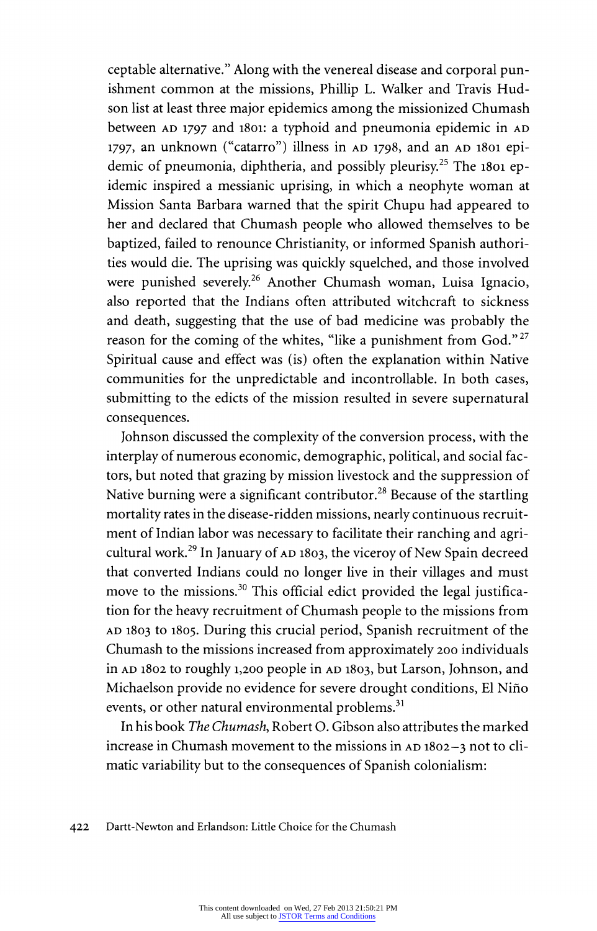**ceptable alternative." Along with the venereal disease and corporal punishment common at the missions, Phillip L. Walker and Travis Hudson list at least three major epidemics among the missionized Chumash**  between AD 1797 and 1801: a typhoid and pneumonia epidemic in AD **1797, an unknown ("catarro") illness in AD 1798, and an AD 1801 epi**demic of pneumonia, diphtheria, and possibly pleurisy.<sup>25</sup> The 1801 ep**idemic inspired a messianic uprising, in which a neophyte woman at Mission Santa Barbara warned that the spirit Chupu had appeared to her and declared that Chumash people who allowed themselves to be baptized, failed to renounce Christianity, or informed Spanish authorities would die. The uprising was quickly squelched, and those involved**  were punished severely.<sup>26</sup> Another Chumash woman, Luisa Ignacio, **also reported that the Indians often attributed witchcraft to sickness and death, suggesting that the use of bad medicine was probably the reason for the coming of the whites, "like a punishment from God."27 Spiritual cause and effect was (is) often the explanation within Native communities for the unpredictable and incontrollable. In both cases, submitting to the edicts of the mission resulted in severe supernatural consequences.** 

**Johnson discussed the complexity of the conversion process, with the interplay of numerous economic, demographic, political, and social factors, but noted that grazing by mission livestock and the suppression of Native burning were a significant contributor.28 Because of the startling mortality rates in the disease-ridden missions, nearly continuous recruitment of Indian labor was necessary to facilitate their ranching and agricultural work.29 In January of AD 1803, the viceroy of New Spain decreed that converted Indians could no longer live in their villages and must**  move to the missions.<sup>30</sup> This official edict provided the legal justifica**tion for the heavy recruitment of Chumash people to the missions from AD 1803 to 1805. During this crucial period, Spanish recruitment of the Chumash to the missions increased from approximately 200 individuals in AD 1802 to roughly 1,200 people in AD 1803, but Larson, Johnson, and Michaelson provide no evidence for severe drought conditions, El Nifio events, or other natural environmental problems.31** 

**In his book The Chumash, Robert O. Gibson also attributes the marked increase in Chumash movement to the missions in AD 1802-3 not to climatic variability but to the consequences of Spanish colonialism:**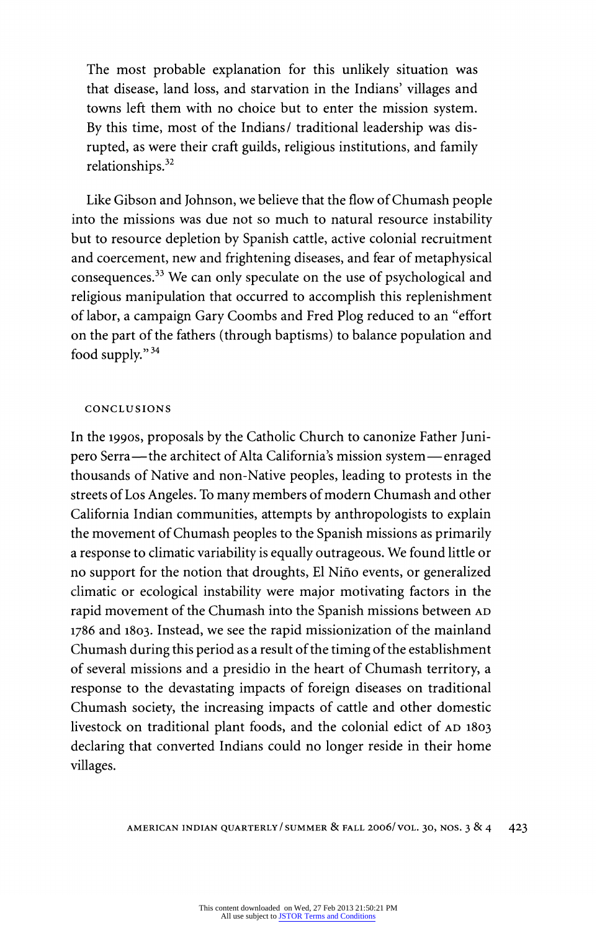**The most probable explanation for this unlikely situation was that disease, land loss, and starvation in the Indians' villages and towns left them with no choice but to enter the mission system. By this time, most of the Indians/ traditional leadership was disrupted, as were their craft guilds, religious institutions, and family relationships.32** 

**Like Gibson and Johnson, we believe that the flow of Chumash people into the missions was due not so much to natural resource instability but to resource depletion by Spanish cattle, active colonial recruitment and coercement, new and frightening diseases, and fear of metaphysical consequences.33 We can only speculate on the use of psychological and religious manipulation that occurred to accomplish this replenishment of labor, a campaign Gary Coombs and Fred Plog reduced to an "effort on the part of the fathers (through baptisms) to balance population and food supply." 34** 

# **CONCLUSIONS**

**In the 1990os, proposals by the Catholic Church to canonize Father Junipero Serra—the architect of Alta California's mission system—enraged thousands of Native and non-Native peoples, leading to protests in the streets of Los Angeles. To many members of modern Chumash and other California Indian communities, attempts by anthropologists to explain the movement of Chumash peoples to the Spanish missions as primarily a response to climatic variability is equally outrageous. We found little or no support for the notion that droughts, El Nifio events, or generalized climatic or ecological instability were major motivating factors in the rapid movement of the Chumash into the Spanish missions between AD 1786 and 1803. Instead, we see the rapid missionization of the mainland Chumash during this period as a result of the timing of the establishment of several missions and a presidio in the heart of Chumash territory, a response to the devastating impacts of foreign diseases on traditional Chumash society, the increasing impacts of cattle and other domestic livestock on traditional plant foods, and the colonial edict of AD 1803 declaring that converted Indians could no longer reside in their home villages.**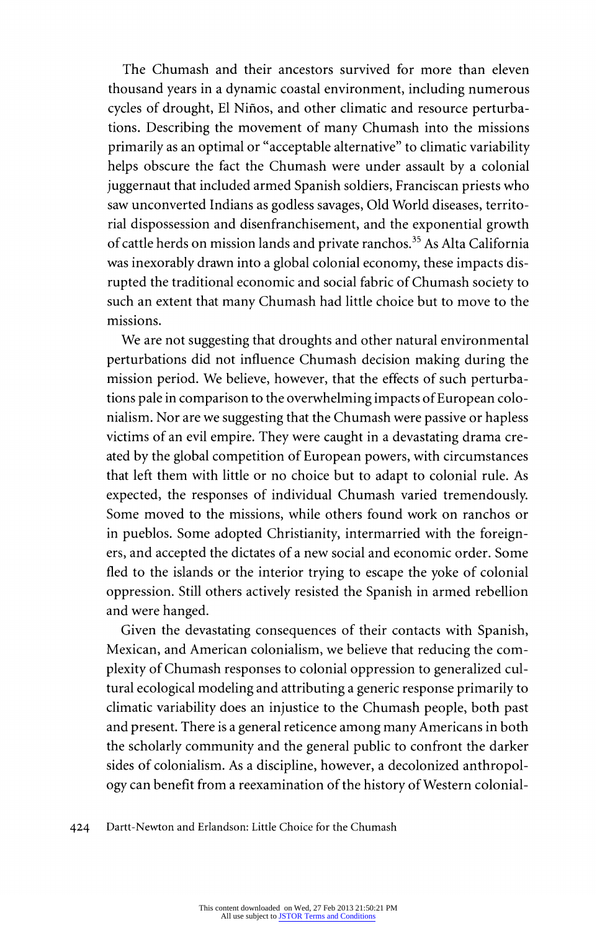**The Chumash and their ancestors survived for more than eleven thousand years in a dynamic coastal environment, including numerous cycles of drought, El Nifios, and other climatic and resource perturbations. Describing the movement of many Chumash into the missions primarily as an optimal or "acceptable alternative" to climatic variability helps obscure the fact the Chumash were under assault by a colonial juggernaut that included armed Spanish soldiers, Franciscan priests who saw unconverted Indians as godless savages, Old World diseases, territorial dispossession and disenfranchisement, and the exponential growth of cattle herds on mission lands and private ranchos.35 As Alta California was inexorably drawn into a global colonial economy, these impacts disrupted the traditional economic and social fabric of Chumash society to such an extent that many Chumash had little choice but to move to the missions.** 

**We are not suggesting that droughts and other natural environmental perturbations did not influence Chumash decision making during the mission period. We believe, however, that the effects of such perturbations pale in comparison to the overwhelming impacts of European colonialism. Nor are we suggesting that the Chumash were passive or hapless victims of an evil empire. They were caught in a devastating drama created by the global competition of European powers, with circumstances that left them with little or no choice but to adapt to colonial rule. As expected, the responses of individual Chumash varied tremendously. Some moved to the missions, while others found work on ranchos or in pueblos. Some adopted Christianity, intermarried with the foreigners, and accepted the dictates of a new social and economic order. Some fled to the islands or the interior trying to escape the yoke of colonial oppression. Still others actively resisted the Spanish in armed rebellion and were hanged.** 

**Given the devastating consequences of their contacts with Spanish, Mexican, and American colonialism, we believe that reducing the complexity of Chumash responses to colonial oppression to generalized cultural ecological modeling and attributing a generic response primarily to climatic variability does an injustice to the Chumash people, both past and present. There is a general reticence among many Americans in both the scholarly community and the general public to confront the darker sides of colonialism. As a discipline, however, a decolonized anthropology can benefit from a reexamination of the history of Western colonial-**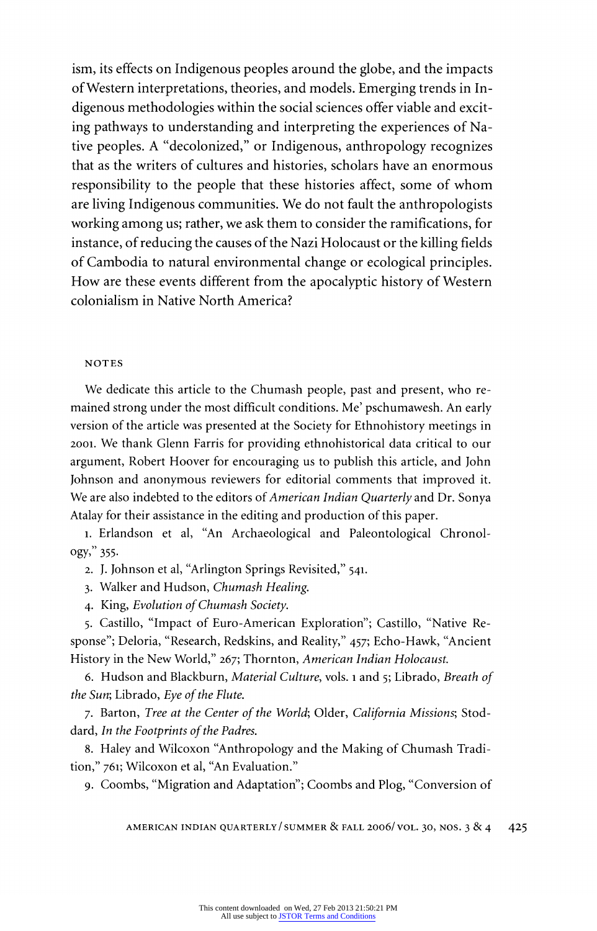**ism, its effects on Indigenous peoples around the globe, and the impacts of Western interpretations, theories, and models. Emerging trends in Indigenous methodologies within the social sciences offer viable and exciting pathways to understanding and interpreting the experiences of Native peoples. A "decolonized," or Indigenous, anthropology recognizes that as the writers of cultures and histories, scholars have an enormous responsibility to the people that these histories affect, some of whom are living Indigenous communities. We do not fault the anthropologists working among us; rather, we ask them to consider the ramifications, for instance, of reducing the causes of the Nazi Holocaust or the killing fields of Cambodia to natural environmental change or ecological principles. How are these events different from the apocalyptic history of Western colonialism in Native North America?** 

#### **NOTES**

**We dedicate this article to the Chumash people, past and present, who remained strong under the most difficult conditions. Me' pschumawesh. An early version of the article was presented at the Society for Ethnohistory meetings in 2001. We thank Glenn Farris for providing ethnohistorical data critical to our argument, Robert Hoover for encouraging us to publish this article, and John Johnson and anonymous reviewers for editorial comments that improved it. We are also indebted to the editors of American Indian Quarterly and Dr. Sonya Atalay for their assistance in the editing and production of this paper.** 

**1. Erlandson et al, "An Archaeological and Paleontological Chronology," 355.** 

**2. J. Johnson et al, "Arlington Springs Revisited," 541.** 

**3. Walker and Hudson, Chumash Healing.** 

**4. King, Evolution of Chumash Society.** 

**5. Castillo, "Impact of Euro-American Exploration"; Castillo, "Native Response"; Deloria, "Research, Redskins, and Reality," 457; Echo-Hawk, "Ancient History in the New World," 267; Thornton, American Indian Holocaust.** 

**6. Hudson and Blackburn, Material Culture, vols. i and 5; Librado, Breath of the Sun; Librado, Eye of the Flute.** 

**7. Barton, Tree at the Center of the World; Older, California Missions; Stoddard, In the Footprints of the Padres.** 

**8. Haley and Wilcoxon "Anthropology and the Making of Chumash Tradition," 761; Wilcoxon et al, "An Evaluation."** 

**9. Coombs, "Migration and Adaptation"; Coombs and Plog, "Conversion of**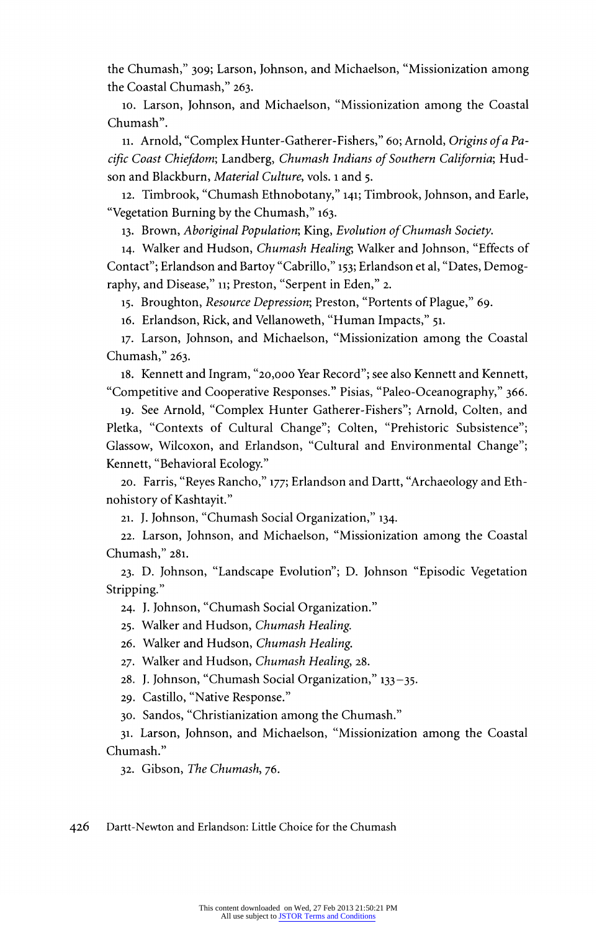**the Chumash," 309; Larson, Johnson, and Michaelson, "Missionization among the Coastal Chumash," 263.** 

**to. Larson, Johnson, and Michaelson, "Missionization among the Coastal Chumash".** 

**11. Arnold, "Complex Hunter-Gatherer-Fishers," 60; Arnold, Origins ofa Pacific Coast Chiefdom; Landberg, Chumash Indians of Southern California; Hudson and Blackburn, Material Culture, vols. I and 5.** 

**12. Timbrook, "Chumash Ethnobotany," 141; Timbrook, Johnson, and Earle, "Vegetation Burning by the Chumash," 163.** 

**13. Brown, Aboriginal Population; King, Evolution of Chumash Society.** 

**14. Walker and Hudson, Chumash Healing, Walker and Johnson, "Effects of Contact"; Erlandson and Bartoy "Cabrillo," 153; Erlandson et al, "Dates, Demography, and Disease," 11; Preston, "Serpent in Eden," 2.** 

**15. Broughton, Resource Depression; Preston, "Portents of Plague," 69.** 

**16. Erlandson, Rick, and Vellanoweth, "Human Impacts," 51.** 

**17. Larson, Johnson, and Michaelson, "Missionization among the Coastal Chumash," 263.** 

**18. Kennett and Ingram, "20,000 Year Record"; see also Kennett and Kennett, "Competitive and Cooperative Responses." Pisias, "Paleo-Oceanography," 366.** 

**19. See Arnold, "Complex Hunter Gatherer-Fishers"; Arnold, Colten, and Pletka, "Contexts of Cultural Change"; Colten, "Prehistoric Subsistence"; Glassow, Wilcoxon, and Erlandson, "Cultural and Environmental Change"; Kennett, "Behavioral Ecology."** 

**20. Farris, "Reyes Rancho," 177; Erlandson and Dartt, "Archaeology and Ethnohistory of Kashtayit."** 

**21. J. Johnson, "Chumash Social Organization," 134.** 

**22. Larson, Johnson, and Michaelson, "Missionization among the Coastal Chumash," 281.** 

**23. D. Johnson, "Landscape Evolution"; D. Johnson "Episodic Vegetation Stripping."** 

**24. J. Johnson, "Chumash Social Organization."** 

**25. Walker and Hudson, Chumash Healing.** 

**26. Walker and Hudson, Chumash Healing.** 

**27. Walker and Hudson, Chumash Healing, 28.** 

**28. J. Johnson, "Chumash Social Organization," 133-35.** 

**29. Castillo, "Native Response."** 

**30. Sandos, "Christianization among the Chumash."** 

**31. Larson, Johnson, and Michaelson, "Missionization among the Coastal Chumash."** 

**32. Gibson, The Chumash, 76.**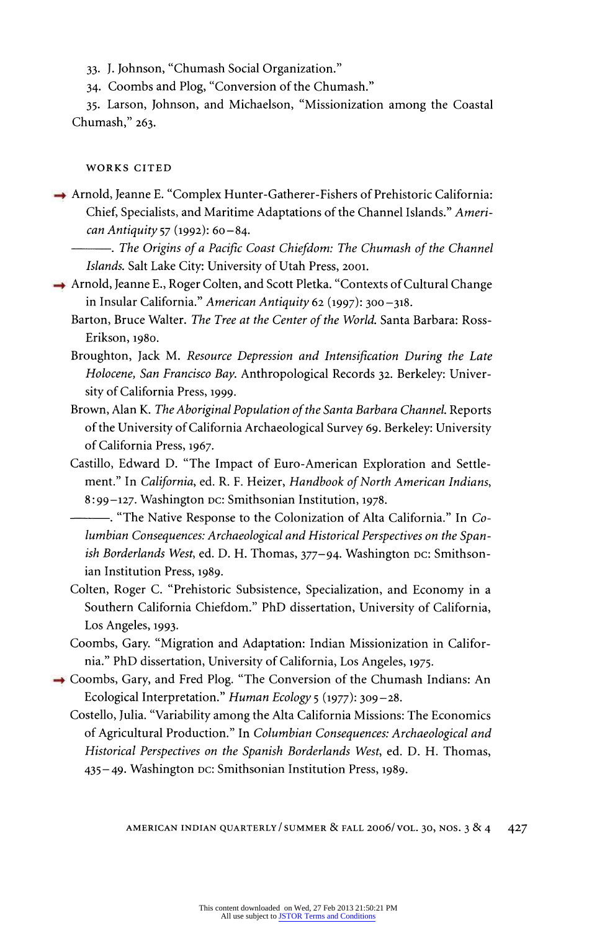**33. J. Johnson, "Chumash Social Organization."** 

**34. Coombs and Plog, "Conversion of the Chumash."** 

**35. Larson, Johnson, and Michaelson, "Missionization among the Coastal Chumash," 263.** 

### **WORKS CITED**

- **Arnold, Jeanne E. "Complex Hunter-Gatherer-Fishers of Prehistoric California: Chief, Specialists, and Maritime Adaptations of the Channel Islands." American Antiquity 57 (1992): 60-84.** 
	- **.. The Origins of a Pacific Coast Chiefdom: The Chumash of the Channel Islands. Salt Lake City: University of Utah Press, 2001.**
- **Arnold, Jeanne E., Roger Colten, and Scott Pletka. "Contexts of Cultural Change in Insular California." American Antiquity 62 (1997): 300 -318.** 
	- **Barton, Bruce Walter. The Tree at the Center of the World. Santa Barbara: Ross-Erikson, 198o.**
	- **Broughton, Jack M. Resource Depression and Intensification During the Late Holocene, San Francisco Bay. Anthropological Records 32. Berkeley: University of California Press, 1999.**
	- **Brown, Alan K. The Aboriginal Population of the Santa Barbara Channel. Reports of the University of California Archaeological Survey 69. Berkeley: University of California Press, 1967.**
	- **Castillo, Edward D. "The Impact of Euro-American Exploration and Settlement." In California, ed. R. F. Heizer, Handbook of North American Indians, 8:99-127. Washington DC: Smithsonian Institution, 1978.** 
		- **•-. lumbian Consequences: Archaeological and Historical Perspectives on the Span-"The Native Response to the Colonization of Alta California." In Coish Borderlands West, ed. D. H. Thomas, 377-94. Washington Dc: Smithsonian Institution Press, 1989.**
	- **Colten, Roger C. "Prehistoric Subsistence, Specialization, and Economy in a Southern California Chiefdom." PhD dissertation, University of California, Los Angeles, 1993.**
	- **Coombs, Gary. "Migration and Adaptation: Indian Missionization in California." PhD dissertation, University of California, Los Angeles, 1975.**
- **Coombs, Gary, and Fred Plog. "The Conversion of the Chumash Indians: An Ecological Interpretation." Human Ecology 5 (1977): 309-28.** 
	- **Costello, Julia. "Variability among the Alta California Missions: The Economics of Agricultural Production." In Columbian Consequences: Archaeological and Historical Perspectives on the Spanish Borderlands West, ed. D. H. Thomas, 435- 49. Washington Dc: Smithsonian Institution Press, 1989.**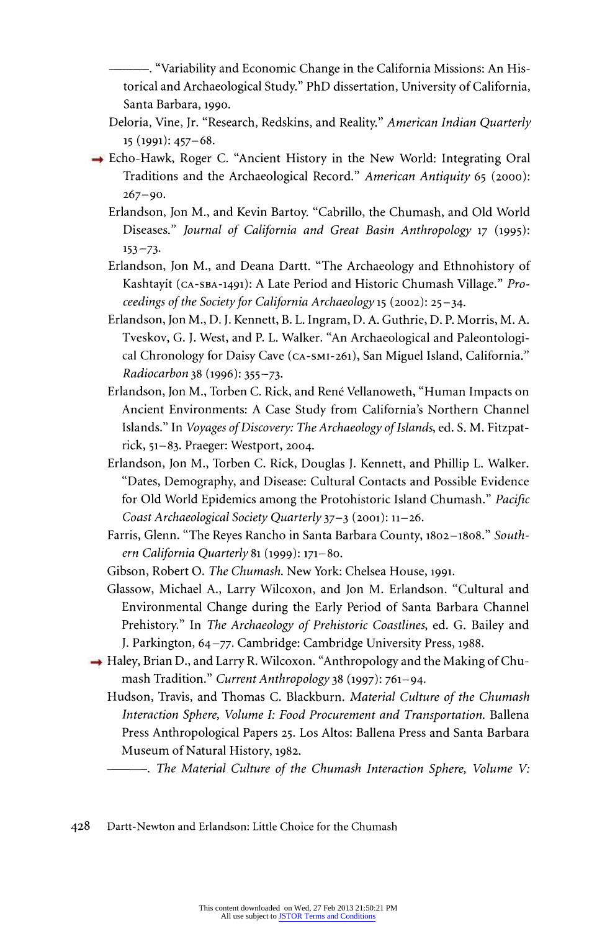**. "Variability and Economic Change in the California Missions: An Historical and Archaeological Study." PhD dissertation, University of California,**  Santa Barbara, 1990.

- **Deloria, Vine, Jr. "Research, Redskins, and Reality." American Indian Quarterly 15 (1991): 457-68.**
- **Echo-Hawk, Roger C. "Ancient History in the New World: Integrating Oral Traditions and the Archaeological Record." American Antiquity 65 (2000): 267-90.** 
	- **Erlandson, Jon M., and Kevin Bartoy. "Cabrillo, the Chumash, and Old World Diseases." Journal of California and Great Basin Anthropology 17 (1995): 153-73.**
	- **Erlandson, Jon M., and Deana Dartt. "The Archaeology and Ethnohistory of Kashtayit (CA-SBA-1491): A Late Period and Historic Chumash Village." Proceedings of the Society for California Archaeology 15 (2002): 25-34.**
	- **Erlandson, Jon M., D. J. Kennett, B. L. Ingram, D. A. Guthrie, D. P. Morris, M. A. Tveskov, G. J. West, and P. L. Walker. "An Archaeological and Paleontological Chronology for Daisy Cave (CA-SMI-261), San Miguel Island, California." Radiocarbon 38 (1996): 355 -73.**
	- Erlandson, Jon M., Torben C. Rick, and René Vellanoweth, "Human Impacts on **Ancient Environments: A Case Study from California's Northern Channel Islands." In Voyages of Discovery: The Archaeology of Islands, ed. S. M. Fitzpatrick, 51-83. Praeger: Westport, 2004.**
	- **Erlandson, Jon M., Torben C. Rick, Douglas J. Kennett, and Phillip L. Walker. "Dates, Demography, and Disease: Cultural Contacts and Possible Evidence for Old World Epidemics among the Protohistoric Island Chumash." Pacific Coast Archaeological Society Quarterly 37-3 (2ool): 11-26.**
	- **Farris, Glenn. "The Reyes Rancho in Santa Barbara County, 1802-1808." Southern California Quarterly 81 (1999): 171-8o.**
	- **Gibson, Robert O. The Chumash. New York: Chelsea House, 1991.**
	- **Glassow, Michael A., Larry Wilcoxon, and Jon M. Erlandson. "Cultural and Environmental Change during the Early Period of Santa Barbara Channel Prehistory." In The Archaeology of Prehistoric Coastlines, ed. G. Bailey and J. Parkington, 64-77. Cambridge: Cambridge University Press, 1988.**
- → Haley, Brian D., and Larry R. Wilcoxon. "Anthropology and the Making of Chu**mash Tradition." Current Anthropology 38 (1997): 761-94.** 
	- **Hudson, Travis, and Thomas C. Blackburn. Material Culture of the Chumash Interaction Sphere, Volume I: Food Procurement and Transportation. Ballena Press Anthropological Papers 25. Los Altos: Ballena Press and Santa Barbara Museum of Natural History, 1982.** 
		- **'. The Material Culture of the Chumash Interaction Sphere, Volume V:**
- **428 Dartt-Newton and Erlandson: Little Choice for the Chumash**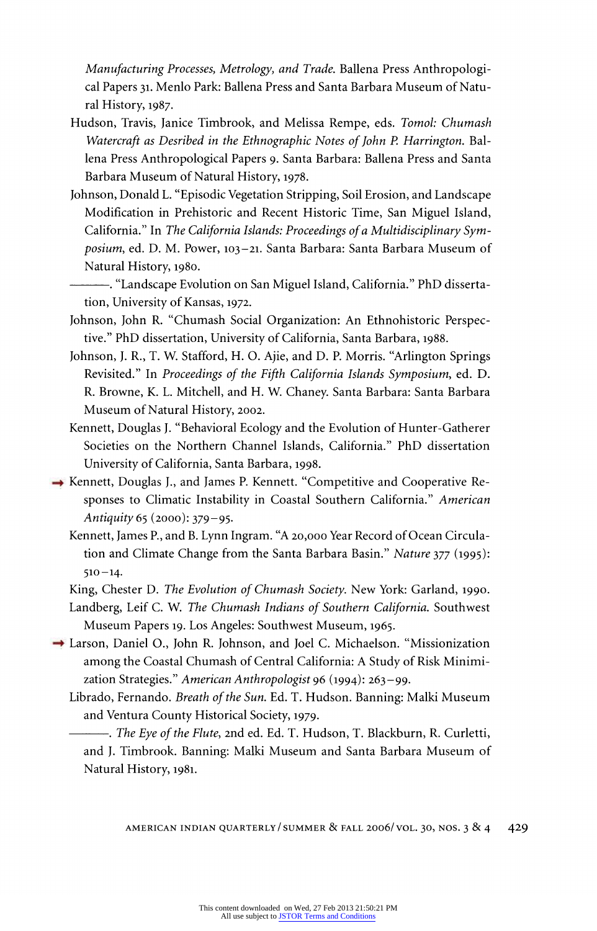**Manufacturing Processes, Metrology, and Trade. Ballena Press Anthropological Papers 31. Menlo Park: Ballena Press and Santa Barbara Museum of Natural History, 1987.** 

- **Hudson, Travis, Janice Timbrook, and Melissa Rempe, eds. Tomol: Chumash Watercraft as Desribed in the Ethnographic Notes of John P. Harrington. Ballena Press Anthropological Papers 9. Santa Barbara: Ballena Press and Santa Barbara Museum of Natural History, 1978.**
- **Johnson, Donald L. "Episodic Vegetation Stripping, Soil Erosion, and Landscape Modification in Prehistoric and Recent Historic Time, San Miguel Island, California." In The California Islands: Proceedings of a Multidisciplinary Symposium, ed. D. M. Power, 103-21. Santa Barbara: Santa Barbara Museum of Natural History, 1980.**
- **•- tion, University of Kansas, 1972. . "Landscape Evolution on San Miguel Island, California." PhD disserta-**
- **Johnson, John R. "Chumash Social Organization: An Ethnohistoric Perspective." PhD dissertation, University of California, Santa Barbara, 1988.**
- **Johnson, J. R., T. W. Stafford, H. O. Ajie, and D. P. Morris. "Arlington Springs Revisited." In Proceedings of the Fifth California Islands Symposium, ed. D. R. Browne, K. L. Mitchell, and H. W. Chaney. Santa Barbara: Santa Barbara Museum of Natural History, 2002.**
- **Kennett, Douglas J. "Behavioral Ecology and the Evolution of Hunter-Gatherer Societies on the Northern Channel Islands, California." PhD dissertation University of California, Santa Barbara, 1998.**
- **Kennett, Douglas J., and James P. Kennett. "Competitive and Cooperative Responses to Climatic Instability in Coastal Southern California." American Antiquity 65 (2000): 379-95.** 
	- Kennett, James P., and B. Lynn Ingram. "A 20,000 Year Record of Ocean Circula**tion and Climate Change from the Santa Barbara Basin." Nature 377 (1995):**   $510 - 14.$
	- King, Chester D. The Evolution of Chumash Society. New York: Garland, 1990.
	- **Landberg, Leif C. W. The Chumash Indians of Southern California. Southwest Museum Papers 19. Los Angeles: Southwest Museum, 1965.**
- **Larson, Daniel O., John R. Johnson, and Joel C. Michaelson. "Missionization among the Coastal Chumash of Central California: A Study of Risk Minimization Strategies." American Anthropologist 96 (1994): 263-99.** 
	- **Librado, Fernando. Breath of the Sun. Ed. T. Hudson. Banning: Malki Museum and Ventura County Historical Society, 1979.** 
		- **--. The Eye of the Flute, 2nd ed. Ed. T. Hudson, T. Blackburn, R. Curletti, and J. Timbrook. Banning: Malki Museum and Santa Barbara Museum of Natural History, 1981.**